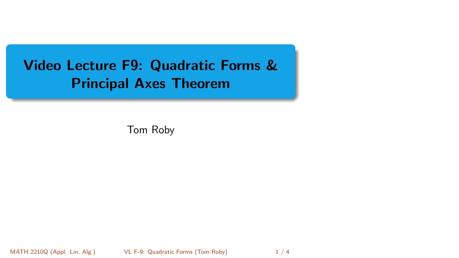# <span id="page-0-0"></span>Video Lecture F9: Quadratic Forms & Principal Axes Theorem

Tom Roby

MATH 2210Q (Appl. Lin. Alg.) VL F-9: Quadratic Forms (Tom Roby) 1/4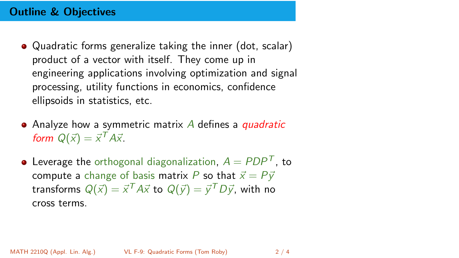## Outline & Objectives

- Quadratic forms generalize taking the inner (dot, scalar) product of a vector with itself. They come up in engineering applications involving optimization and signal processing, utility functions in economics, confidence ellipsoids in statistics, etc.
- Analyze how a symmetric matrix  $\vec{A}$  defines a *quadratic* form  $Q(\vec{x}) = \vec{x}^T A \vec{x}$ .
- Leverage the orthogonal diagonalization,  $A = PDP<sup>T</sup>$ , to compute a change of basis matrix P so that  $\vec{x} = P\vec{y}$ transforms  $Q(\vec{x}) = \vec{x}^T A \vec{x}$  to  $Q(\vec{y}) = \vec{y}^T D \vec{y}$ , with no cross terms.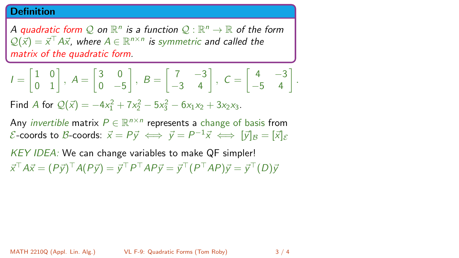#### Definition

A quadratic form  $\mathcal Q$  on  $\mathbb R^n$  is a function  $\mathcal Q:\mathbb R^n\to\mathbb R$  of the form  $\mathcal{Q}(\vec{x}) = \vec{x}^\top A \vec{x}$ , where  $A \in \mathbb{R}^{n \times n}$  is symmetric and called the matrix of the quadratic form.

$$
I = \begin{bmatrix} 1 & 0 \\ 0 & 1 \end{bmatrix}, A = \begin{bmatrix} 3 & 0 \\ 0 & -5 \end{bmatrix}, B = \begin{bmatrix} 7 & -3 \\ -3 & 4 \end{bmatrix}, C = \begin{bmatrix} 4 & -3 \\ -5 & 4 \end{bmatrix}.
$$

Find A for  $Q(\vec{x}) = -4x_1^2 + 7x_2^2 - 5x_3^2 - 6x_1x_2 + 3x_2x_3$ .

Any *invertible* matrix  $P \in \mathbb{R}^{n \times n}$  represents a change of basis from  $\mathcal E$ -coords to  $\mathcal B$ -coords:  $\vec x = P\vec y \iff \vec y = P^{-1}\vec x \iff [\vec y]_\mathcal B = [\vec x]_\mathcal E$ 

KEY IDEA: We can change variables to make QF simpler!  $\vec{x}^\top A \vec{x} = (P \vec{y})^\top A (P \vec{y}) = \vec{y}^\top P^\top A P \vec{y} = \vec{y}^\top (P^\top A P) \vec{y} = \vec{y}^\top (D) \vec{y}$